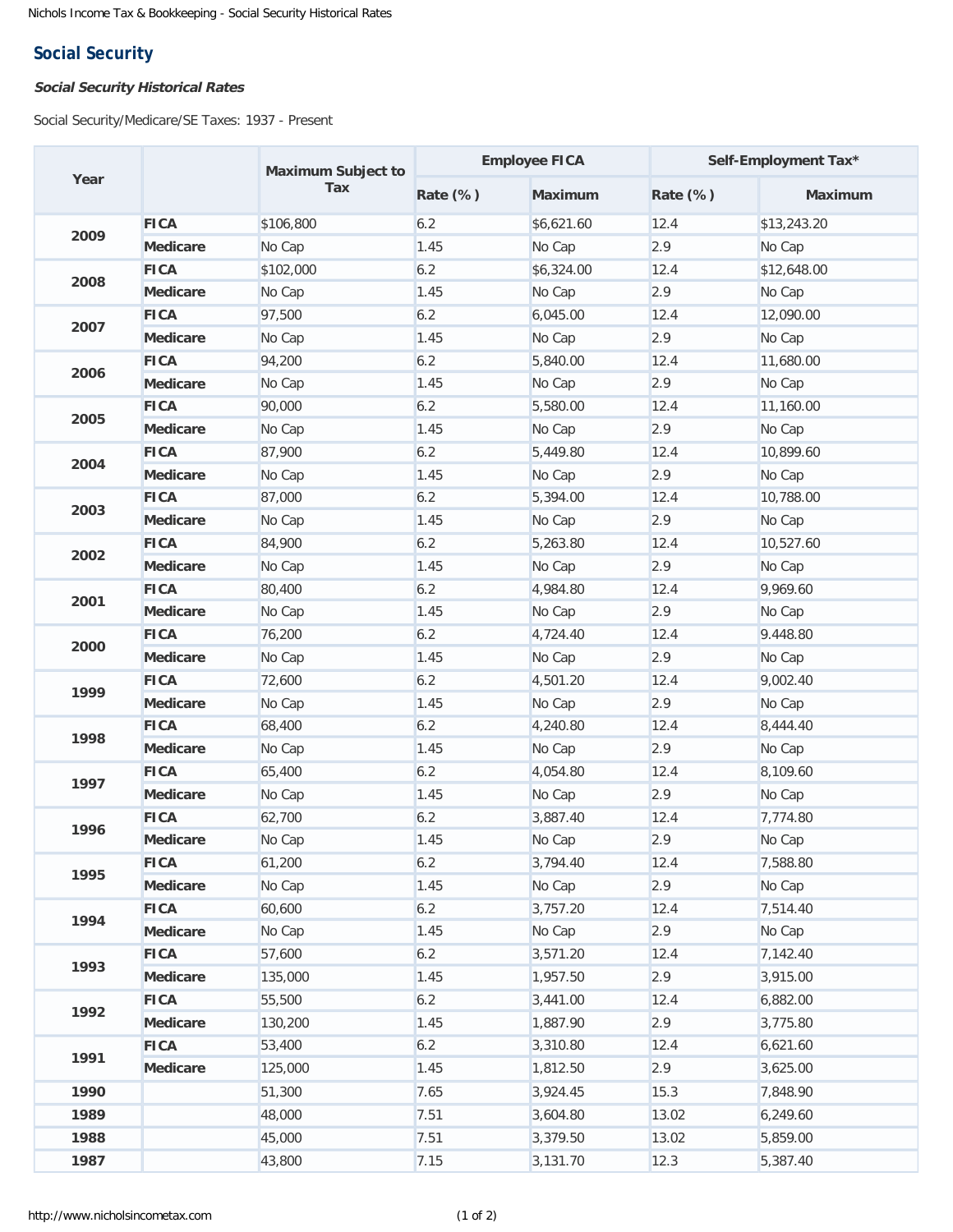## **Social Security**

## **Social Security Historical Rates**

Social Security/Medicare/SE Taxes: 1937 - Present

| Year |                 | <b>Maximum Subject to</b> | <b>Employee FICA</b> |                | Self-Employment Tax* |                |
|------|-----------------|---------------------------|----------------------|----------------|----------------------|----------------|
|      |                 | Tax                       | <b>Rate (%)</b>      | <b>Maximum</b> | <b>Rate (%)</b>      | <b>Maximum</b> |
| 2009 | <b>FICA</b>     | \$106,800                 | 6.2                  | \$6,621.60     | 12.4                 | \$13,243.20    |
|      | <b>Medicare</b> | No Cap                    | 1.45                 | No Cap         | 2.9                  | No Cap         |
| 2008 | <b>FICA</b>     | \$102,000                 | 6.2                  | \$6,324.00     | 12.4                 | \$12,648.00    |
|      | <b>Medicare</b> | No Cap                    | 1.45                 | No Cap         | 2.9                  | No Cap         |
| 2007 | <b>FICA</b>     | 97,500                    | 6.2                  | 6,045.00       | 12.4                 | 12,090.00      |
|      | <b>Medicare</b> | No Cap                    | 1.45                 | No Cap         | 2.9                  | No Cap         |
| 2006 | <b>FICA</b>     | 94,200                    | 6.2                  | 5,840.00       | 12.4                 | 11,680.00      |
|      | <b>Medicare</b> | No Cap                    | 1.45                 | No Cap         | 2.9                  | No Cap         |
| 2005 | <b>FICA</b>     | 90,000                    | 6.2                  | 5,580.00       | 12.4                 | 11,160.00      |
|      | <b>Medicare</b> | No Cap                    | 1.45                 | No Cap         | 2.9                  | No Cap         |
| 2004 | <b>FICA</b>     | 87,900                    | 6.2                  | 5,449.80       | 12.4                 | 10,899.60      |
|      | <b>Medicare</b> | No Cap                    | 1.45                 | No Cap         | 2.9                  | No Cap         |
| 2003 | <b>FICA</b>     | 87,000                    | 6.2                  | 5,394.00       | 12.4                 | 10,788.00      |
|      | <b>Medicare</b> | No Cap                    | 1.45                 | No Cap         | 2.9                  | No Cap         |
| 2002 | <b>FICA</b>     | 84,900                    | 6.2                  | 5,263.80       | 12.4                 | 10,527.60      |
|      | <b>Medicare</b> | No Cap                    | 1.45                 | No Cap         | 2.9                  | No Cap         |
| 2001 | <b>FICA</b>     | 80,400                    | 6.2                  | 4,984.80       | 12.4                 | 9,969.60       |
|      | <b>Medicare</b> | No Cap                    | 1.45                 | No Cap         | 2.9                  | No Cap         |
| 2000 | <b>FICA</b>     | 76,200                    | 6.2                  | 4,724.40       | 12.4                 | 9.448.80       |
|      | <b>Medicare</b> | No Cap                    | 1.45                 | No Cap         | 2.9                  | No Cap         |
| 1999 | <b>FICA</b>     | 72,600                    | 6.2                  | 4,501.20       | 12.4                 | 9,002.40       |
|      | <b>Medicare</b> | No Cap                    | 1.45                 | No Cap         | 2.9                  | No Cap         |
| 1998 | <b>FICA</b>     | 68,400                    | 6.2                  | 4,240.80       | 12.4                 | 8,444.40       |
|      | <b>Medicare</b> | No Cap                    | 1.45                 | No Cap         | 2.9                  | No Cap         |
| 1997 | <b>FICA</b>     | 65,400                    | 6.2                  | 4,054.80       | 12.4                 | 8,109.60       |
|      | <b>Medicare</b> | No Cap                    | 1.45                 | No Cap         | 2.9                  | No Cap         |
| 1996 | <b>FICA</b>     | 62,700                    | 6.2                  | 3,887.40       | 12.4                 | 7,774.80       |
|      | <b>Medicare</b> | No Cap                    | 1.45                 | No Cap         | 2.9                  | No Cap         |
| 1995 | <b>FICA</b>     | 61,200                    | 6.2                  | 3,794.40       | 12.4                 | 7,588.80       |
|      | <b>Medicare</b> | No Cap                    | 1.45                 | No Cap         | 2.9                  | No Cap         |
| 1994 | <b>FICA</b>     | 60,600                    | 6.2                  | 3,757.20       | 12.4                 | 7,514.40       |
|      | <b>Medicare</b> | No Cap                    | 1.45                 | No Cap         | 2.9                  | No Cap         |
| 1993 | <b>FICA</b>     | 57,600                    | 6.2                  | 3,571.20       | 12.4                 | 7,142.40       |
|      | <b>Medicare</b> | 135,000                   | 1.45                 | 1,957.50       | 2.9                  | 3,915.00       |
| 1992 | <b>FICA</b>     | 55,500                    | 6.2                  | 3,441.00       | 12.4                 | 6,882.00       |
|      | <b>Medicare</b> | 130,200                   | 1.45                 | 1,887.90       | 2.9                  | 3,775.80       |
| 1991 | <b>FICA</b>     | 53,400                    | 6.2                  | 3,310.80       | 12.4                 | 6,621.60       |
|      | <b>Medicare</b> | 125,000                   | 1.45                 | 1,812.50       | 2.9                  | 3,625.00       |
| 1990 |                 | 51,300                    | 7.65                 | 3,924.45       | 15.3                 | 7,848.90       |
| 1989 |                 | 48,000                    | 7.51                 | 3,604.80       | 13.02                | 6,249.60       |
| 1988 |                 | 45,000                    | 7.51                 | 3,379.50       | 13.02                | 5,859.00       |
| 1987 |                 | 43,800                    | 7.15                 | 3,131.70       | 12.3                 | 5,387.40       |